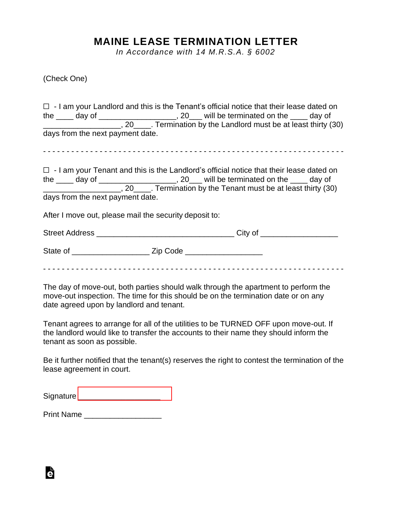## **MAINE LEASE TERMINATION LETTER**

*In Accordance with 14 M.R.S.A. § 6002*

(Check One)

|                                                        | $\Box$ - I am your Landlord and this is the Tenant's official notice that their lease dated on                                                                                          |
|--------------------------------------------------------|-----------------------------------------------------------------------------------------------------------------------------------------------------------------------------------------|
|                                                        |                                                                                                                                                                                         |
|                                                        | the $\_\_\_\_$ day of $\_\_\_\_\_$ , 20 $\_\_\_\_$ will be terminated on the $\_\_\_\_$ day of $\_\_\_\_\_$ , 20 $\_\_\_\_\.\$ Termination by the Landlord must be at least thirty (30) |
| days from the next payment date.                       |                                                                                                                                                                                         |
|                                                        |                                                                                                                                                                                         |
|                                                        | $\Box$ - I am your Tenant and this is the Landlord's official notice that their lease dated on                                                                                          |
|                                                        | the ____ day of ____________________, 20___ will be terminated on the ____ day of                                                                                                       |
|                                                        | 20 Termination by the Tenant must be at least thirty (30)                                                                                                                               |
| days from the next payment date.                       |                                                                                                                                                                                         |
| After I move out, please mail the security deposit to: |                                                                                                                                                                                         |
|                                                        |                                                                                                                                                                                         |
|                                                        |                                                                                                                                                                                         |
|                                                        |                                                                                                                                                                                         |

The day of move-out, both parties should walk through the apartment to perform the move-out inspection. The time for this should be on the termination date or on any date agreed upon by landlord and tenant.

Tenant agrees to arrange for all of the utilities to be TURNED OFF upon move-out. If the landlord would like to transfer the accounts to their name they should inform the tenant as soon as possible.

Be it further notified that the tenant(s) reserves the right to contest the termination of the lease agreement in court.

Print Name \_\_\_\_\_\_\_\_\_\_\_\_\_\_\_\_\_\_\_\_\_